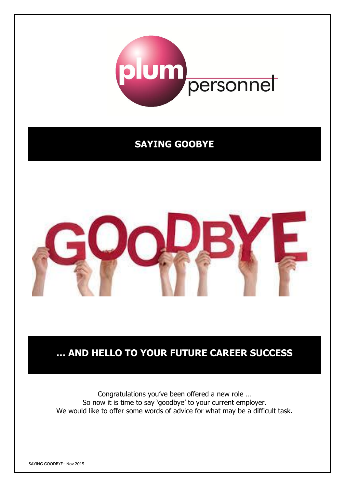

## **SAYING GOOBYE**



# **… AND HELLO TO YOUR FUTURE CAREER SUCCESS**

Congratulations you've been offered a new role … So now it is time to say 'goodbye' to your current employer. We would like to offer some words of advice for what may be a difficult task.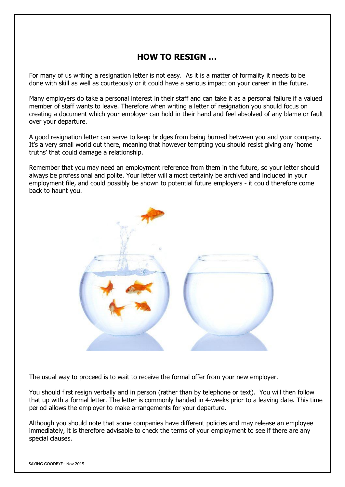## **HOW TO RESIGN …**

For many of us writing a resignation letter is not easy. As it is a matter of formality it needs to be done with skill as well as courteously or it could have a serious impact on your career in the future.

Many employers do take a personal interest in their staff and can take it as a personal failure if a valued member of staff wants to leave. Therefore when writing a letter of resignation you should focus on creating a document which your employer can hold in their hand and feel absolved of any blame or fault over your departure.

A good resignation letter can serve to keep bridges from being burned between you and your company. It's a very small world out there, meaning that however tempting you should resist giving any 'home truths' that could damage a relationship.

Remember that you may need an employment reference from them in the future, so your letter should always be professional and polite. Your letter will almost certainly be archived and included in your employment file, and could possibly be shown to potential future employers - it could therefore come back to haunt you.



The usual way to proceed is to wait to receive the formal offer from your new employer.

You should first resign verbally and in person (rather than by telephone or text). You will then follow that up with a formal letter. The letter is commonly handed in 4-weeks prior to a leaving date. This time period allows the employer to make arrangements for your departure.

Although you should note that some companies have different policies and may release an employee immediately, it is therefore advisable to check the terms of your employment to see if there are any special clauses.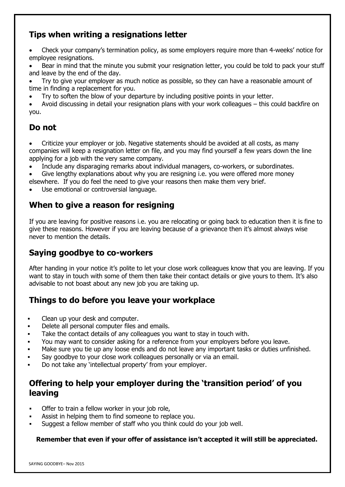## **Tips when writing a resignations letter**

 Check your company's termination policy, as some employers require more than 4-weeks' notice for employee resignations.

 Bear in mind that the minute you submit your resignation letter, you could be told to pack your stuff and leave by the end of the day.

- Try to give your employer as much notice as possible, so they can have a reasonable amount of time in finding a replacement for you.
- Try to soften the blow of your departure by including positive points in your letter.

 Avoid discussing in detail your resignation plans with your work colleagues – this could backfire on you.

## **Do not**

- Criticize your employer or job. Negative statements should be avoided at all costs, as many companies will keep a resignation letter on file, and you may find yourself a few years down the line applying for a job with the very same company.
- Include any disparaging remarks about individual managers, co-workers, or subordinates.
- Give lengthy explanations about why you are resigning i.e. you were offered more money elsewhere. If you do feel the need to give your reasons then make them very brief.
- Use emotional or controversial language.

## **When to give a reason for resigning**

If you are leaving for positive reasons i.e. you are relocating or going back to education then it is fine to give these reasons. However if you are leaving because of a grievance then it's almost always wise never to mention the details.

## **Saying goodbye to co-workers**

After handing in your notice it's polite to let your close work colleagues know that you are leaving. If you want to stay in touch with some of them then take their contact details or give yours to them. It's also advisable to not boast about any new job you are taking up.

### **Things to do before you leave your workplace**

- Clean up your desk and computer.
- Delete all personal computer files and emails.
- Take the contact details of any colleagues you want to stay in touch with.
- You may want to consider asking for a reference from your employers before you leave.
- Make sure you tie up any loose ends and do not leave any important tasks or duties unfinished.
- Say goodbye to your close work colleagues personally or via an email.
- Do not take any 'intellectual property' from your employer.

## **Offering to help your employer during the 'transition period' of you leaving**

- Offer to train a fellow worker in your job role,
- Assist in helping them to find someone to replace you.
- Suggest a fellow member of staff who you think could do your job well.

#### **Remember that even if your offer of assistance isn't accepted it will still be appreciated.**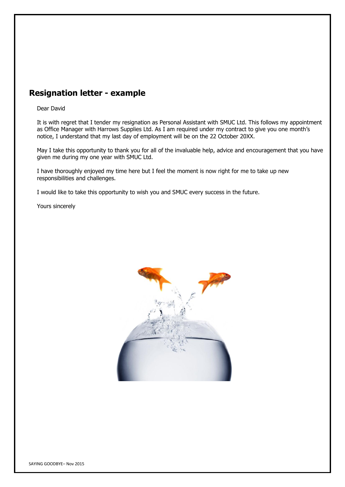### **Resignation letter - example**

#### Dear David

It is with regret that I tender my resignation as Personal Assistant with SMUC Ltd. This follows my appointment as Office Manager with Harrows Supplies Ltd. As I am required under my contract to give you one month's notice, I understand that my last day of employment will be on the 22 October 20XX.

May I take this opportunity to thank you for all of the invaluable help, advice and encouragement that you have given me during my one year with SMUC Ltd.

I have thoroughly enjoyed my time here but I feel the moment is now right for me to take up new responsibilities and challenges.

I would like to take this opportunity to wish you and SMUC every success in the future.

Yours sincerely